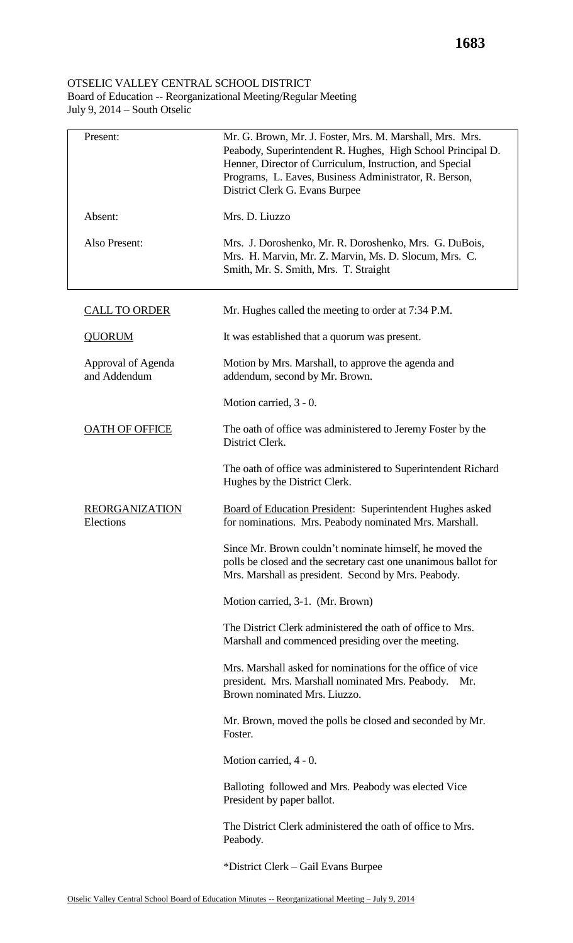## OTSELIC VALLEY CENTRAL SCHOOL DISTRICT Board of Education -- Reorganizational Meeting/Regular Meeting July 9, 2014 – South Otselic

| Present:                           | Mr. G. Brown, Mr. J. Foster, Mrs. M. Marshall, Mrs. Mrs.<br>Peabody, Superintendent R. Hughes, High School Principal D.<br>Henner, Director of Curriculum, Instruction, and Special<br>Programs, L. Eaves, Business Administrator, R. Berson,<br>District Clerk G. Evans Burpee |
|------------------------------------|---------------------------------------------------------------------------------------------------------------------------------------------------------------------------------------------------------------------------------------------------------------------------------|
| Absent:                            | Mrs. D. Liuzzo                                                                                                                                                                                                                                                                  |
| Also Present:                      | Mrs. J. Doroshenko, Mr. R. Doroshenko, Mrs. G. DuBois,<br>Mrs. H. Marvin, Mr. Z. Marvin, Ms. D. Slocum, Mrs. C.<br>Smith, Mr. S. Smith, Mrs. T. Straight                                                                                                                        |
| <b>CALL TO ORDER</b>               | Mr. Hughes called the meeting to order at 7:34 P.M.                                                                                                                                                                                                                             |
| <b>QUORUM</b>                      | It was established that a quorum was present.                                                                                                                                                                                                                                   |
| Approval of Agenda<br>and Addendum | Motion by Mrs. Marshall, to approve the agenda and<br>addendum, second by Mr. Brown.                                                                                                                                                                                            |
|                                    | Motion carried, 3 - 0.                                                                                                                                                                                                                                                          |
| <b>OATH OF OFFICE</b>              | The oath of office was administered to Jeremy Foster by the<br>District Clerk.                                                                                                                                                                                                  |
|                                    | The oath of office was administered to Superintendent Richard<br>Hughes by the District Clerk.                                                                                                                                                                                  |
| <b>REORGANIZATION</b><br>Elections | Board of Education President: Superintendent Hughes asked<br>for nominations. Mrs. Peabody nominated Mrs. Marshall.                                                                                                                                                             |
|                                    | Since Mr. Brown couldn't nominate himself, he moved the<br>polls be closed and the secretary cast one unanimous ballot for<br>Mrs. Marshall as president. Second by Mrs. Peabody.                                                                                               |
|                                    | Motion carried, 3-1. (Mr. Brown)                                                                                                                                                                                                                                                |
|                                    | The District Clerk administered the oath of office to Mrs.<br>Marshall and commenced presiding over the meeting.                                                                                                                                                                |
|                                    | Mrs. Marshall asked for nominations for the office of vice<br>president. Mrs. Marshall nominated Mrs. Peabody.<br>Mr.<br>Brown nominated Mrs. Liuzzo.                                                                                                                           |
|                                    | Mr. Brown, moved the polls be closed and seconded by Mr.<br>Foster.                                                                                                                                                                                                             |
|                                    | Motion carried, 4 - 0.                                                                                                                                                                                                                                                          |
|                                    | Balloting followed and Mrs. Peabody was elected Vice<br>President by paper ballot.                                                                                                                                                                                              |
|                                    | The District Clerk administered the oath of office to Mrs.<br>Peabody.                                                                                                                                                                                                          |
|                                    | *District Clerk – Gail Evans Burpee                                                                                                                                                                                                                                             |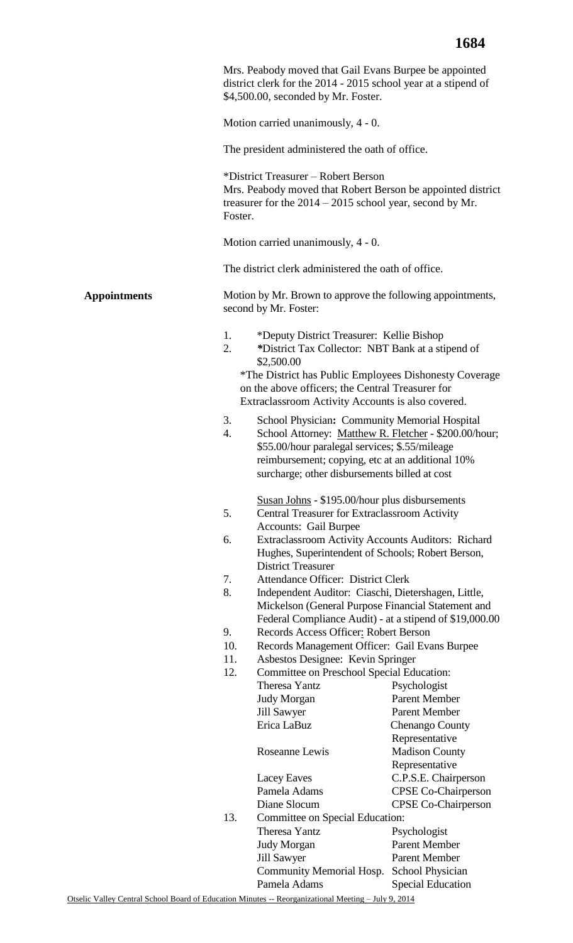|                     |          | Mrs. Peabody moved that Gail Evans Burpee be appointed<br>district clerk for the 2014 - 2015 school year at a stipend of<br>\$4,500.00, seconded by Mr. Foster.                                                                                                                 |                                         |
|---------------------|----------|---------------------------------------------------------------------------------------------------------------------------------------------------------------------------------------------------------------------------------------------------------------------------------|-----------------------------------------|
|                     |          | Motion carried unanimously, 4 - 0.                                                                                                                                                                                                                                              |                                         |
|                     |          | The president administered the oath of office.                                                                                                                                                                                                                                  |                                         |
|                     | Foster.  | *District Treasurer – Robert Berson<br>Mrs. Peabody moved that Robert Berson be appointed district<br>treasurer for the 2014 - 2015 school year, second by Mr.                                                                                                                  |                                         |
|                     |          | Motion carried unanimously, 4 - 0.                                                                                                                                                                                                                                              |                                         |
|                     |          | The district clerk administered the oath of office.                                                                                                                                                                                                                             |                                         |
| <b>Appointments</b> |          | Motion by Mr. Brown to approve the following appointments,<br>second by Mr. Foster:                                                                                                                                                                                             |                                         |
|                     | 1.<br>2. | *Deputy District Treasurer: Kellie Bishop<br>*District Tax Collector: NBT Bank at a stipend of<br>\$2,500.00<br>*The District has Public Employees Dishonesty Coverage<br>on the above officers; the Central Treasurer for<br>Extraclassroom Activity Accounts is also covered. |                                         |
|                     | 3.<br>4. | School Physician: Community Memorial Hospital<br>School Attorney: Matthew R. Fletcher - \$200.00/hour;<br>\$55.00/hour paralegal services; \$.55/mileage<br>reimbursement; copying, etc at an additional 10%<br>surcharge; other disbursements billed at cost                   |                                         |
|                     | 5.       | Susan Johns - \$195.00/hour plus disbursements<br>Central Treasurer for Extraclassroom Activity<br><b>Accounts: Gail Burpee</b>                                                                                                                                                 |                                         |
|                     | 6.       | Extraclassroom Activity Accounts Auditors: Richard<br>Hughes, Superintendent of Schools; Robert Berson,<br><b>District Treasurer</b>                                                                                                                                            |                                         |
|                     | 7.       | <b>Attendance Officer: District Clerk</b>                                                                                                                                                                                                                                       |                                         |
|                     | 8.       | Independent Auditor: Ciaschi, Dietershagen, Little,<br>Mickelson (General Purpose Financial Statement and<br>Federal Compliance Audit) - at a stipend of \$19,000.00                                                                                                            |                                         |
|                     | 9.       | Records Access Officer: Robert Berson                                                                                                                                                                                                                                           |                                         |
|                     | 10.      | Records Management Officer: Gail Evans Burpee                                                                                                                                                                                                                                   |                                         |
|                     | 11.      | Asbestos Designee: Kevin Springer                                                                                                                                                                                                                                               |                                         |
|                     | 12.      | Committee on Preschool Special Education:<br><b>Theresa Yantz</b>                                                                                                                                                                                                               | Psychologist                            |
|                     |          | <b>Judy Morgan</b>                                                                                                                                                                                                                                                              | <b>Parent Member</b>                    |
|                     |          | <b>Jill Sawyer</b>                                                                                                                                                                                                                                                              | <b>Parent Member</b>                    |
|                     |          | Erica LaBuz                                                                                                                                                                                                                                                                     | <b>Chenango County</b>                  |
|                     |          |                                                                                                                                                                                                                                                                                 | Representative                          |
|                     |          | Roseanne Lewis                                                                                                                                                                                                                                                                  | <b>Madison County</b><br>Representative |
|                     |          | Lacey Eaves                                                                                                                                                                                                                                                                     | C.P.S.E. Chairperson                    |
|                     |          | Pamela Adams                                                                                                                                                                                                                                                                    | <b>CPSE Co-Chairperson</b>              |
|                     |          | Diane Slocum                                                                                                                                                                                                                                                                    | <b>CPSE Co-Chairperson</b>              |
|                     | 13.      | Committee on Special Education:                                                                                                                                                                                                                                                 |                                         |
|                     |          | <b>Theresa Yantz</b>                                                                                                                                                                                                                                                            | Psychologist                            |
|                     |          | <b>Judy Morgan</b>                                                                                                                                                                                                                                                              | <b>Parent Member</b>                    |
|                     |          | <b>Jill Sawyer</b>                                                                                                                                                                                                                                                              | <b>Parent Member</b>                    |
|                     |          | <b>Community Memorial Hosp.</b><br>Pamela Adams                                                                                                                                                                                                                                 | <b>School Physician</b>                 |
|                     |          |                                                                                                                                                                                                                                                                                 | <b>Special Education</b>                |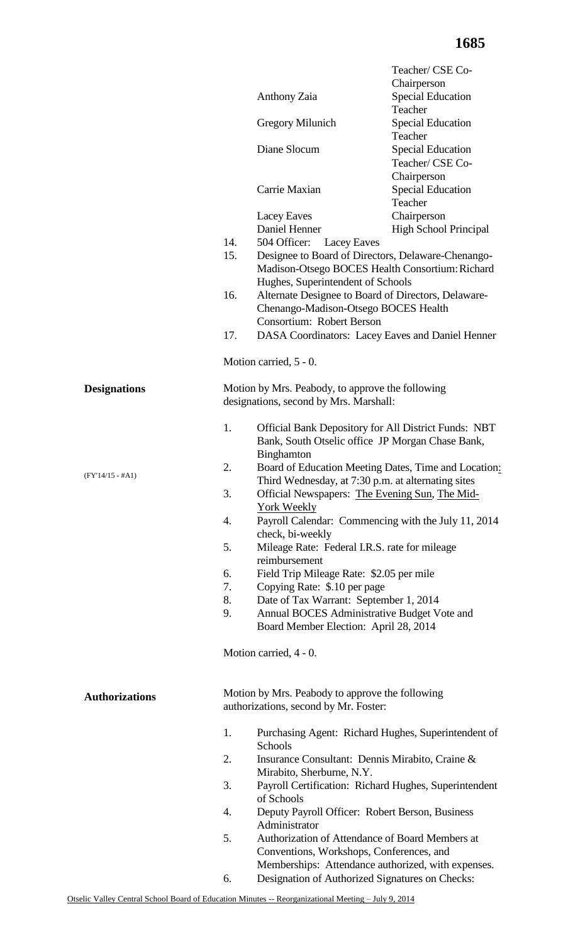|                                                                         |                                                 |                                               | Teacher/ CSE Co-                                            |
|-------------------------------------------------------------------------|-------------------------------------------------|-----------------------------------------------|-------------------------------------------------------------|
|                                                                         |                                                 |                                               | Chairperson                                                 |
|                                                                         | Anthony Zaia                                    |                                               | <b>Special Education</b>                                    |
|                                                                         |                                                 |                                               | Teacher                                                     |
|                                                                         | <b>Gregory Milunich</b>                         |                                               | <b>Special Education</b><br>Teacher                         |
|                                                                         | Diane Slocum                                    |                                               | <b>Special Education</b>                                    |
|                                                                         |                                                 |                                               | Teacher/ CSE Co-                                            |
|                                                                         |                                                 |                                               | Chairperson                                                 |
|                                                                         | Carrie Maxian                                   |                                               | <b>Special Education</b>                                    |
|                                                                         |                                                 |                                               | Teacher                                                     |
|                                                                         | Lacey Eaves                                     |                                               | Chairperson                                                 |
|                                                                         | Daniel Henner                                   |                                               | <b>High School Principal</b>                                |
|                                                                         | 504 Officer:<br>14.                             | Lacey Eaves                                   |                                                             |
|                                                                         | 15.                                             |                                               | Designee to Board of Directors, Delaware-Chenango-          |
|                                                                         |                                                 |                                               | Madison-Otsego BOCES Health Consortium: Richard             |
|                                                                         |                                                 | Hughes, Superintendent of Schools             |                                                             |
|                                                                         | 16.                                             |                                               | Alternate Designee to Board of Directors, Delaware-         |
|                                                                         |                                                 | Chenango-Madison-Otsego BOCES Health          |                                                             |
|                                                                         | Consortium: Robert Berson                       |                                               |                                                             |
|                                                                         | 17.                                             |                                               | DASA Coordinators: Lacey Eaves and Daniel Henner            |
|                                                                         |                                                 |                                               |                                                             |
|                                                                         | Motion carried, 5 - 0.                          |                                               |                                                             |
| Motion by Mrs. Peabody, to approve the following<br><b>Designations</b> |                                                 |                                               |                                                             |
|                                                                         | designations, second by Mrs. Marshall:          |                                               |                                                             |
|                                                                         |                                                 |                                               |                                                             |
|                                                                         | 1.                                              |                                               | <b>Official Bank Depository for All District Funds: NBT</b> |
|                                                                         |                                                 |                                               | Bank, South Otselic office JP Morgan Chase Bank,            |
|                                                                         | <b>Binghamton</b>                               |                                               |                                                             |
|                                                                         | 2.                                              |                                               | Board of Education Meeting Dates, Time and Location:        |
| $(FY'14/15 - #A1)$                                                      |                                                 |                                               | Third Wednesday, at 7:30 p.m. at alternating sites          |
|                                                                         | 3.                                              |                                               | Official Newspapers: The Evening Sun, The Mid-              |
|                                                                         | <b>York Weekly</b>                              |                                               |                                                             |
|                                                                         | 4.                                              |                                               | Payroll Calendar: Commencing with the July 11, 2014         |
|                                                                         | check, bi-weekly                                |                                               |                                                             |
|                                                                         | 5.                                              | Mileage Rate: Federal I.R.S. rate for mileage |                                                             |
|                                                                         | reimbursement                                   |                                               |                                                             |
|                                                                         | 6.                                              | Field Trip Mileage Rate: \$2.05 per mile      |                                                             |
|                                                                         | 7.<br>Copying Rate: \$.10 per page              |                                               |                                                             |
|                                                                         | 8.                                              | Date of Tax Warrant: September 1, 2014        |                                                             |
|                                                                         | 9.                                              |                                               | Annual BOCES Administrative Budget Vote and                 |
|                                                                         |                                                 | Board Member Election: April 28, 2014         |                                                             |
|                                                                         |                                                 |                                               |                                                             |
|                                                                         | Motion carried, 4 - 0.                          |                                               |                                                             |
|                                                                         |                                                 |                                               |                                                             |
| <b>Authorizations</b>                                                   | Motion by Mrs. Peabody to approve the following |                                               |                                                             |
|                                                                         | authorizations, second by Mr. Foster:           |                                               |                                                             |
|                                                                         | 1.                                              |                                               | Purchasing Agent: Richard Hughes, Superintendent of         |
|                                                                         | Schools                                         |                                               |                                                             |
|                                                                         | 2.                                              |                                               | Insurance Consultant: Dennis Mirabito, Craine &             |
|                                                                         | Mirabito, Sherburne, N.Y.                       |                                               |                                                             |
|                                                                         | 3.                                              |                                               | Payroll Certification: Richard Hughes, Superintendent       |
|                                                                         | of Schools                                      |                                               |                                                             |
|                                                                         | 4.                                              |                                               | Deputy Payroll Officer: Robert Berson, Business             |
|                                                                         | Administrator                                   |                                               |                                                             |
|                                                                         | 5.                                              |                                               | Authorization of Attendance of Board Members at             |
|                                                                         |                                                 | Conventions, Workshops, Conferences, and      |                                                             |
|                                                                         |                                                 |                                               | Memberships: Attendance authorized, with expenses.          |
|                                                                         | 6.                                              |                                               | Designation of Authorized Signatures on Checks:             |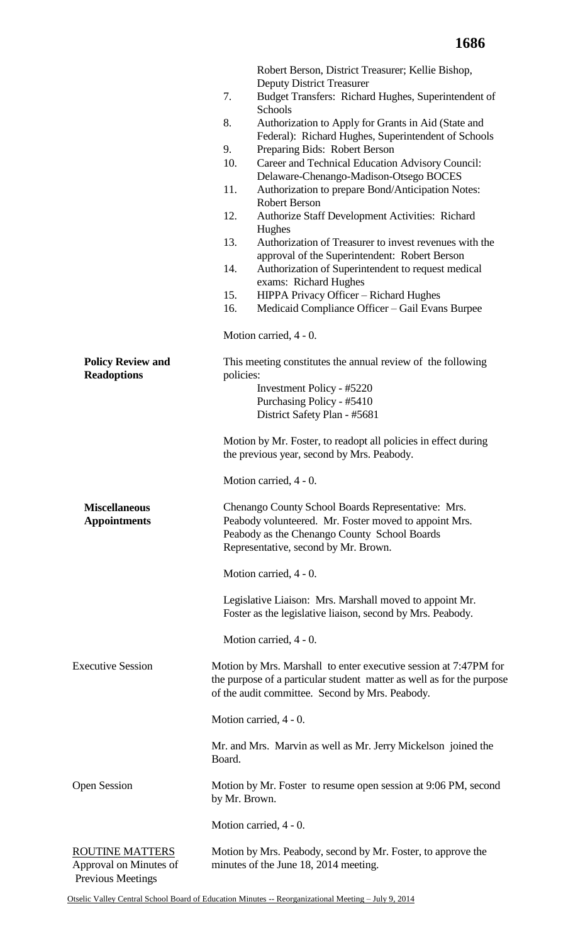|                          | Robert Berson, District Treasurer; Kellie Bishop,                                                           |
|--------------------------|-------------------------------------------------------------------------------------------------------------|
|                          | <b>Deputy District Treasurer</b>                                                                            |
|                          | Budget Transfers: Richard Hughes, Superintendent of<br>7.                                                   |
|                          | Schools<br>Authorization to Apply for Grants in Aid (State and<br>8.                                        |
|                          | Federal): Richard Hughes, Superintendent of Schools                                                         |
|                          | 9.<br>Preparing Bids: Robert Berson                                                                         |
|                          | 10.<br>Career and Technical Education Advisory Council:                                                     |
|                          | Delaware-Chenango-Madison-Otsego BOCES                                                                      |
|                          | 11.<br>Authorization to prepare Bond/Anticipation Notes:                                                    |
|                          | <b>Robert Berson</b>                                                                                        |
|                          | 12.<br><b>Authorize Staff Development Activities: Richard</b>                                               |
|                          | Hughes                                                                                                      |
|                          | 13.<br>Authorization of Treasurer to invest revenues with the                                               |
|                          | approval of the Superintendent: Robert Berson                                                               |
|                          | 14.<br>Authorization of Superintendent to request medical                                                   |
|                          | exams: Richard Hughes                                                                                       |
|                          | 15.<br>HIPPA Privacy Officer - Richard Hughes                                                               |
|                          | Medicaid Compliance Officer - Gail Evans Burpee<br>16.                                                      |
|                          |                                                                                                             |
|                          | Motion carried, 4 - 0.                                                                                      |
| <b>Policy Review and</b> | This meeting constitutes the annual review of the following                                                 |
| <b>Readoptions</b>       | policies:                                                                                                   |
|                          | Investment Policy - #5220                                                                                   |
|                          | Purchasing Policy - #5410                                                                                   |
|                          | District Safety Plan - #5681                                                                                |
|                          |                                                                                                             |
|                          | Motion by Mr. Foster, to readopt all policies in effect during                                              |
|                          | the previous year, second by Mrs. Peabody.                                                                  |
|                          |                                                                                                             |
|                          | Motion carried, 4 - 0.                                                                                      |
| <b>Miscellaneous</b>     |                                                                                                             |
| <b>Appointments</b>      | Chenango County School Boards Representative: Mrs.<br>Peabody volunteered. Mr. Foster moved to appoint Mrs. |
|                          | Peabody as the Chenango County School Boards                                                                |
|                          | Representative, second by Mr. Brown.                                                                        |
|                          |                                                                                                             |
|                          | Motion carried, 4 - 0.                                                                                      |
|                          |                                                                                                             |
|                          | Legislative Liaison: Mrs. Marshall moved to appoint Mr.                                                     |
|                          | Foster as the legislative liaison, second by Mrs. Peabody.                                                  |
|                          |                                                                                                             |
|                          | Motion carried, 4 - 0.                                                                                      |
| <b>Executive Session</b> | Motion by Mrs. Marshall to enter executive session at 7:47PM for                                            |
|                          | the purpose of a particular student matter as well as for the purpose                                       |
|                          | of the audit committee. Second by Mrs. Peabody.                                                             |
|                          |                                                                                                             |
|                          | Motion carried, 4 - 0.                                                                                      |
|                          |                                                                                                             |
|                          | Mr. and Mrs. Marvin as well as Mr. Jerry Mickelson joined the                                               |
|                          | Board.                                                                                                      |
|                          |                                                                                                             |
| <b>Open Session</b>      | Motion by Mr. Foster to resume open session at 9:06 PM, second                                              |
|                          | by Mr. Brown.                                                                                               |
|                          | Motion carried, 4 - 0.                                                                                      |
|                          |                                                                                                             |
| ROUTINE MATTERS          | Motion by Mrs. Peabody, second by Mr. Foster, to approve the                                                |
| Approval on Minutes of   | minutes of the June 18, 2014 meeting.                                                                       |
| <b>Previous Meetings</b> |                                                                                                             |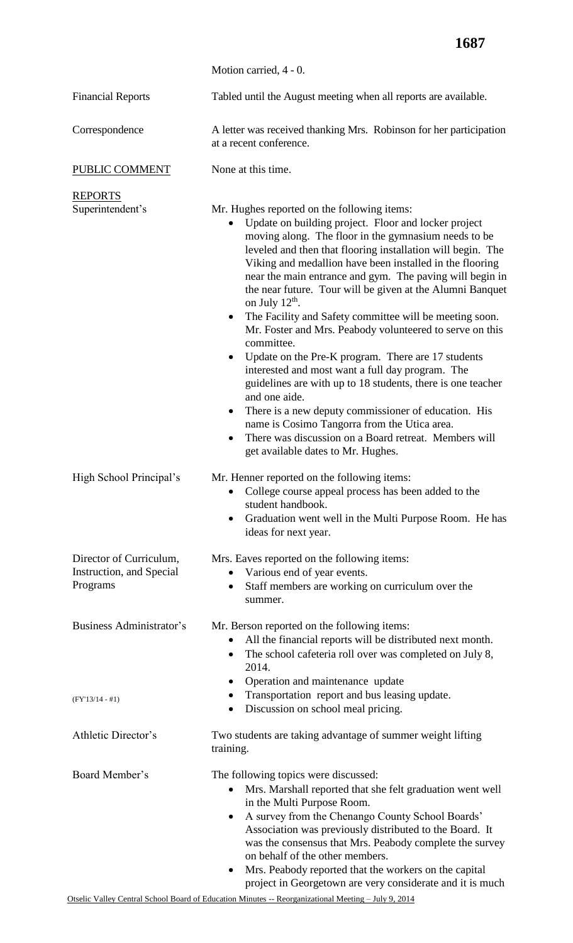|                                                                 | Motion carried, 4 - 0.                                                                                                                                                                                                                                                                                                                                                                                                                                                                                                                                                                                                                                                                                                                                                                                                                                                                                                                                                                                                                       |
|-----------------------------------------------------------------|----------------------------------------------------------------------------------------------------------------------------------------------------------------------------------------------------------------------------------------------------------------------------------------------------------------------------------------------------------------------------------------------------------------------------------------------------------------------------------------------------------------------------------------------------------------------------------------------------------------------------------------------------------------------------------------------------------------------------------------------------------------------------------------------------------------------------------------------------------------------------------------------------------------------------------------------------------------------------------------------------------------------------------------------|
| <b>Financial Reports</b>                                        | Tabled until the August meeting when all reports are available.                                                                                                                                                                                                                                                                                                                                                                                                                                                                                                                                                                                                                                                                                                                                                                                                                                                                                                                                                                              |
| Correspondence                                                  | A letter was received thanking Mrs. Robinson for her participation<br>at a recent conference.                                                                                                                                                                                                                                                                                                                                                                                                                                                                                                                                                                                                                                                                                                                                                                                                                                                                                                                                                |
| PUBLIC COMMENT                                                  | None at this time.                                                                                                                                                                                                                                                                                                                                                                                                                                                                                                                                                                                                                                                                                                                                                                                                                                                                                                                                                                                                                           |
| <b>REPORTS</b><br>Superintendent's                              | Mr. Hughes reported on the following items:<br>Update on building project. Floor and locker project<br>$\bullet$<br>moving along. The floor in the gymnasium needs to be<br>leveled and then that flooring installation will begin. The<br>Viking and medallion have been installed in the flooring<br>near the main entrance and gym. The paving will begin in<br>the near future. Tour will be given at the Alumni Banquet<br>on July $12^{\text{th}}$ .<br>The Facility and Safety committee will be meeting soon.<br>$\bullet$<br>Mr. Foster and Mrs. Peabody volunteered to serve on this<br>committee.<br>Update on the Pre-K program. There are 17 students<br>٠<br>interested and most want a full day program. The<br>guidelines are with up to 18 students, there is one teacher<br>and one aide.<br>There is a new deputy commissioner of education. His<br>$\bullet$<br>name is Cosimo Tangorra from the Utica area.<br>There was discussion on a Board retreat. Members will<br>$\bullet$<br>get available dates to Mr. Hughes. |
| High School Principal's                                         | Mr. Henner reported on the following items:<br>College course appeal process has been added to the<br>$\bullet$<br>student handbook.<br>Graduation went well in the Multi Purpose Room. He has<br>٠<br>ideas for next year.                                                                                                                                                                                                                                                                                                                                                                                                                                                                                                                                                                                                                                                                                                                                                                                                                  |
| Director of Curriculum,<br>Instruction, and Special<br>Programs | Mrs. Eaves reported on the following items:<br>Various end of year events.<br>Staff members are working on curriculum over the<br>summer.                                                                                                                                                                                                                                                                                                                                                                                                                                                                                                                                                                                                                                                                                                                                                                                                                                                                                                    |
| <b>Business Administrator's</b>                                 | Mr. Berson reported on the following items:<br>All the financial reports will be distributed next month.<br>$\bullet$<br>The school cafeteria roll over was completed on July 8,<br>$\bullet$<br>2014.<br>Operation and maintenance update<br>$\bullet$                                                                                                                                                                                                                                                                                                                                                                                                                                                                                                                                                                                                                                                                                                                                                                                      |
| $(FY'13/14 - #1)$                                               | Transportation report and bus leasing update.<br>Discussion on school meal pricing.<br>٠                                                                                                                                                                                                                                                                                                                                                                                                                                                                                                                                                                                                                                                                                                                                                                                                                                                                                                                                                     |
| Athletic Director's                                             | Two students are taking advantage of summer weight lifting<br>training.                                                                                                                                                                                                                                                                                                                                                                                                                                                                                                                                                                                                                                                                                                                                                                                                                                                                                                                                                                      |
| Board Member's                                                  | The following topics were discussed:<br>Mrs. Marshall reported that she felt graduation went well<br>$\bullet$<br>in the Multi Purpose Room.<br>A survey from the Chenango County School Boards'<br>$\bullet$<br>Association was previously distributed to the Board. It<br>was the consensus that Mrs. Peabody complete the survey<br>on behalf of the other members.<br>Mrs. Peabody reported that the workers on the capital<br>٠<br>project in Georgetown are very considerate and it is much                                                                                                                                                                                                                                                                                                                                                                                                                                                                                                                                            |

**1687**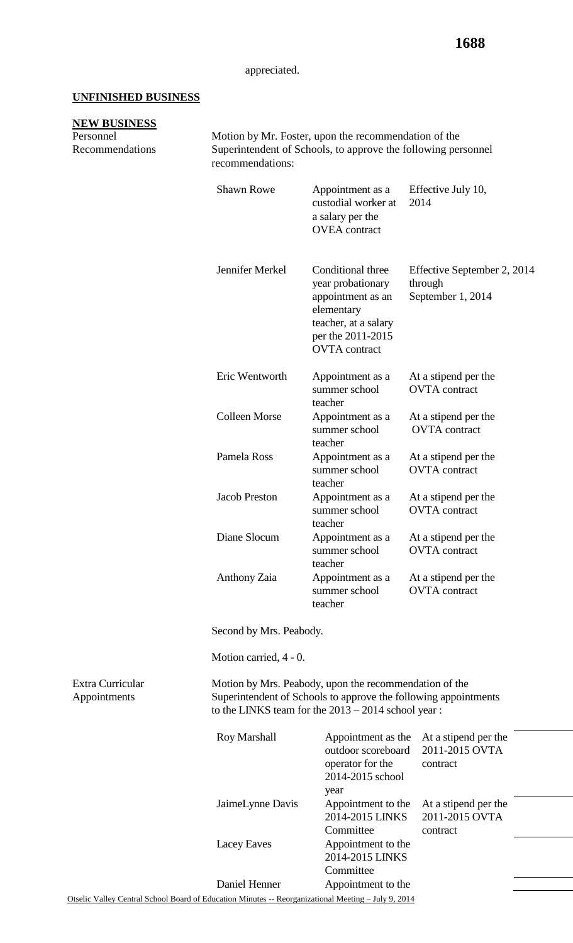appreciated.

## **UNFINISHED BUSINESS**

## **NEW BUSINESS**

Personnel Recommendations

Extra Curricular Appointments

Motion by Mr. Foster, upon the recommendation of the Superintendent of Schools, to approve the following personnel recommendations:

| <b>Shawn Rowe</b>       | Appointment as a<br>custodial worker at<br>a salary per the<br><b>OVEA</b> contract                                                                                               | Effective July 10,<br>2014                                  |
|-------------------------|-----------------------------------------------------------------------------------------------------------------------------------------------------------------------------------|-------------------------------------------------------------|
| Jennifer Merkel         | Conditional three<br>year probationary<br>appointment as an<br>elementary<br>teacher, at a salary<br>per the 2011-2015<br><b>OVTA</b> contract                                    | Effective September 2, 2014<br>through<br>September 1, 2014 |
| Eric Wentworth          | Appointment as a<br>summer school<br>teacher                                                                                                                                      | At a stipend per the<br><b>OVTA</b> contract                |
| <b>Colleen Morse</b>    | Appointment as a<br>summer school<br>teacher                                                                                                                                      | At a stipend per the<br><b>OVTA</b> contract                |
| Pamela Ross             | Appointment as a<br>summer school<br>teacher                                                                                                                                      | At a stipend per the<br><b>OVTA</b> contract                |
| <b>Jacob Preston</b>    | Appointment as a<br>summer school<br>teacher                                                                                                                                      | At a stipend per the<br><b>OVTA</b> contract                |
| Diane Slocum            | Appointment as a<br>summer school<br>teacher                                                                                                                                      | At a stipend per the<br><b>OVTA</b> contract                |
| Anthony Zaia            | Appointment as a<br>summer school<br>teacher                                                                                                                                      | At a stipend per the<br><b>OVTA</b> contract                |
| Second by Mrs. Peabody. |                                                                                                                                                                                   |                                                             |
| Motion carried, 4 - 0.  |                                                                                                                                                                                   |                                                             |
|                         | Motion by Mrs. Peabody, upon the recommendation of the<br>Superintendent of Schools to approve the following appointments<br>to the LINKS team for the $2013 - 2014$ school year: |                                                             |
| Roy Marshall            | Appointment as the<br>outdoor scoreboard<br>operator for the<br>2014-2015 school<br>year                                                                                          | At a stipend per the<br>2011-2015 OVTA<br>contract          |
| JaimeLynne Davis        | Appointment to the<br>2014-2015 LINKS<br>Committee                                                                                                                                | At a stipend per the<br>2011-2015 OVTA<br>contract          |
| Lacey Eaves             | Appointment to the<br>2014-2015 LINKS<br>Committee                                                                                                                                |                                                             |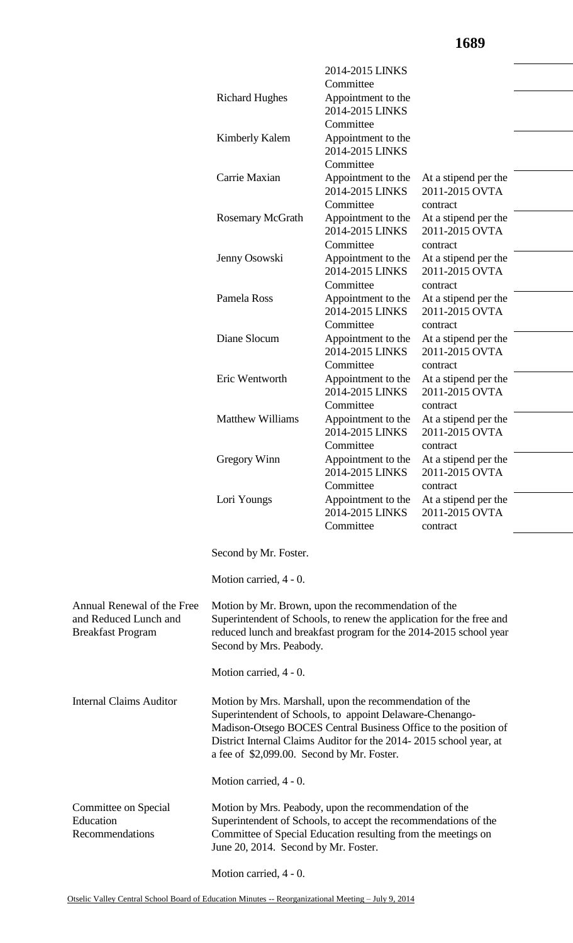|                                                                                 |                                                                                                                                                                                                                                                                                                            | 2014-2015 LINKS                                    |                                                    |  |
|---------------------------------------------------------------------------------|------------------------------------------------------------------------------------------------------------------------------------------------------------------------------------------------------------------------------------------------------------------------------------------------------------|----------------------------------------------------|----------------------------------------------------|--|
|                                                                                 |                                                                                                                                                                                                                                                                                                            | Committee                                          |                                                    |  |
|                                                                                 | <b>Richard Hughes</b>                                                                                                                                                                                                                                                                                      | Appointment to the<br>2014-2015 LINKS              |                                                    |  |
|                                                                                 |                                                                                                                                                                                                                                                                                                            | Committee                                          |                                                    |  |
|                                                                                 | Kimberly Kalem                                                                                                                                                                                                                                                                                             | Appointment to the<br>2014-2015 LINKS              |                                                    |  |
|                                                                                 |                                                                                                                                                                                                                                                                                                            | Committee                                          |                                                    |  |
|                                                                                 | Carrie Maxian                                                                                                                                                                                                                                                                                              | Appointment to the<br>2014-2015 LINKS<br>Committee | At a stipend per the<br>2011-2015 OVTA<br>contract |  |
|                                                                                 | <b>Rosemary McGrath</b>                                                                                                                                                                                                                                                                                    | Appointment to the<br>2014-2015 LINKS              | At a stipend per the<br>2011-2015 OVTA             |  |
|                                                                                 |                                                                                                                                                                                                                                                                                                            | Committee                                          | contract                                           |  |
|                                                                                 | Jenny Osowski                                                                                                                                                                                                                                                                                              | Appointment to the<br>2014-2015 LINKS              | At a stipend per the<br>2011-2015 OVTA             |  |
|                                                                                 | Pamela Ross                                                                                                                                                                                                                                                                                                | Committee<br>Appointment to the                    | contract<br>At a stipend per the                   |  |
|                                                                                 |                                                                                                                                                                                                                                                                                                            | 2014-2015 LINKS<br>Committee                       | 2011-2015 OVTA<br>contract                         |  |
|                                                                                 | Diane Slocum                                                                                                                                                                                                                                                                                               | Appointment to the                                 | At a stipend per the                               |  |
|                                                                                 |                                                                                                                                                                                                                                                                                                            | 2014-2015 LINKS<br>Committee                       | 2011-2015 OVTA<br>contract                         |  |
|                                                                                 | Eric Wentworth                                                                                                                                                                                                                                                                                             | Appointment to the<br>2014-2015 LINKS              | At a stipend per the<br>2011-2015 OVTA             |  |
|                                                                                 |                                                                                                                                                                                                                                                                                                            | Committee                                          | contract                                           |  |
|                                                                                 | <b>Matthew Williams</b>                                                                                                                                                                                                                                                                                    | Appointment to the<br>2014-2015 LINKS              | At a stipend per the<br>2011-2015 OVTA             |  |
|                                                                                 |                                                                                                                                                                                                                                                                                                            | Committee                                          | contract                                           |  |
|                                                                                 | Gregory Winn                                                                                                                                                                                                                                                                                               | Appointment to the<br>2014-2015 LINKS<br>Committee | At a stipend per the<br>2011-2015 OVTA<br>contract |  |
|                                                                                 | Lori Youngs                                                                                                                                                                                                                                                                                                | Appointment to the                                 | At a stipend per the                               |  |
|                                                                                 |                                                                                                                                                                                                                                                                                                            | 2014-2015 LINKS<br>Committee                       | 2011-2015 OVTA<br>contract                         |  |
|                                                                                 | Second by Mr. Foster.                                                                                                                                                                                                                                                                                      |                                                    |                                                    |  |
|                                                                                 | Motion carried, 4 - 0.                                                                                                                                                                                                                                                                                     |                                                    |                                                    |  |
| Annual Renewal of the Free<br>and Reduced Lunch and<br><b>Breakfast Program</b> | Motion by Mr. Brown, upon the recommendation of the<br>Superintendent of Schools, to renew the application for the free and<br>reduced lunch and breakfast program for the 2014-2015 school year<br>Second by Mrs. Peabody.                                                                                |                                                    |                                                    |  |
|                                                                                 | Motion carried, 4 - 0.                                                                                                                                                                                                                                                                                     |                                                    |                                                    |  |
| <b>Internal Claims Auditor</b>                                                  | Motion by Mrs. Marshall, upon the recommendation of the<br>Superintendent of Schools, to appoint Delaware-Chenango-<br>Madison-Otsego BOCES Central Business Office to the position of<br>District Internal Claims Auditor for the 2014-2015 school year, at<br>a fee of \$2,099.00. Second by Mr. Foster. |                                                    |                                                    |  |
|                                                                                 | Motion carried, 4 - 0.                                                                                                                                                                                                                                                                                     |                                                    |                                                    |  |
| Committee on Special<br>Education<br>Recommendations                            | Motion by Mrs. Peabody, upon the recommendation of the<br>Superintendent of Schools, to accept the recommendations of the<br>Committee of Special Education resulting from the meetings on<br>June 20, 2014. Second by Mr. Foster.                                                                         |                                                    |                                                    |  |
|                                                                                 |                                                                                                                                                                                                                                                                                                            |                                                    |                                                    |  |

Motion carried, 4 - 0.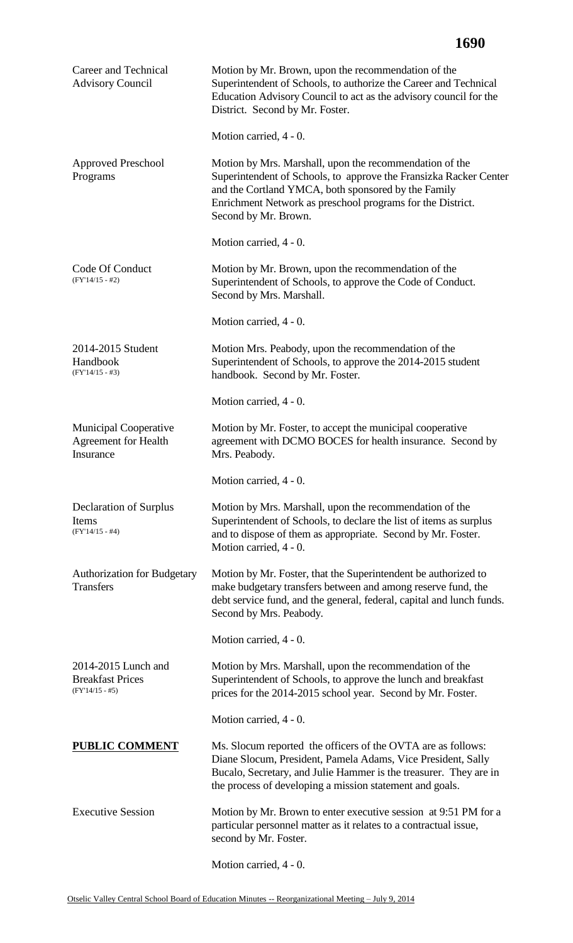| <b>Career and Technical</b><br><b>Advisory Council</b>                   | Motion by Mr. Brown, upon the recommendation of the<br>Superintendent of Schools, to authorize the Career and Technical<br>Education Advisory Council to act as the advisory council for the<br>District. Second by Mr. Foster.                                           |
|--------------------------------------------------------------------------|---------------------------------------------------------------------------------------------------------------------------------------------------------------------------------------------------------------------------------------------------------------------------|
|                                                                          | Motion carried, 4 - 0.                                                                                                                                                                                                                                                    |
| <b>Approved Preschool</b><br>Programs                                    | Motion by Mrs. Marshall, upon the recommendation of the<br>Superintendent of Schools, to approve the Fransizka Racker Center<br>and the Cortland YMCA, both sponsored by the Family<br>Enrichment Network as preschool programs for the District.<br>Second by Mr. Brown. |
|                                                                          | Motion carried, 4 - 0.                                                                                                                                                                                                                                                    |
| Code Of Conduct<br>$(FY'14/15 - #2)$                                     | Motion by Mr. Brown, upon the recommendation of the<br>Superintendent of Schools, to approve the Code of Conduct.<br>Second by Mrs. Marshall.                                                                                                                             |
|                                                                          | Motion carried, 4 - 0.                                                                                                                                                                                                                                                    |
| 2014-2015 Student<br>Handbook<br>$(FY'14/15 - #3)$                       | Motion Mrs. Peabody, upon the recommendation of the<br>Superintendent of Schools, to approve the 2014-2015 student<br>handbook. Second by Mr. Foster.                                                                                                                     |
|                                                                          | Motion carried, 4 - 0.                                                                                                                                                                                                                                                    |
| <b>Municipal Cooperative</b><br><b>Agreement</b> for Health<br>Insurance | Motion by Mr. Foster, to accept the municipal cooperative<br>agreement with DCMO BOCES for health insurance. Second by<br>Mrs. Peabody.                                                                                                                                   |
|                                                                          | Motion carried, 4 - 0.                                                                                                                                                                                                                                                    |
| Declaration of Surplus<br>Items<br>$(FY'14/15 - #4)$                     | Motion by Mrs. Marshall, upon the recommendation of the<br>Superintendent of Schools, to declare the list of items as surplus<br>and to dispose of them as appropriate. Second by Mr. Foster.<br>Motion carried, 4 - 0.                                                   |
| <b>Authorization for Budgetary</b><br><b>Transfers</b>                   | Motion by Mr. Foster, that the Superintendent be authorized to<br>make budgetary transfers between and among reserve fund, the<br>debt service fund, and the general, federal, capital and lunch funds.<br>Second by Mrs. Peabody.                                        |
|                                                                          | Motion carried, 4 - 0.                                                                                                                                                                                                                                                    |
| 2014-2015 Lunch and<br><b>Breakfast Prices</b><br>$(FY14/15 - #5)$       | Motion by Mrs. Marshall, upon the recommendation of the<br>Superintendent of Schools, to approve the lunch and breakfast<br>prices for the 2014-2015 school year. Second by Mr. Foster.                                                                                   |
|                                                                          | Motion carried, 4 - 0.                                                                                                                                                                                                                                                    |
| <b>PUBLIC COMMENT</b>                                                    | Ms. Slocum reported the officers of the OVTA are as follows:<br>Diane Slocum, President, Pamela Adams, Vice President, Sally<br>Bucalo, Secretary, and Julie Hammer is the treasurer. They are in<br>the process of developing a mission statement and goals.             |
| <b>Executive Session</b>                                                 | Motion by Mr. Brown to enter executive session at 9:51 PM for a<br>particular personnel matter as it relates to a contractual issue,<br>second by Mr. Foster.                                                                                                             |
|                                                                          | Motion carried, 4 - 0.                                                                                                                                                                                                                                                    |